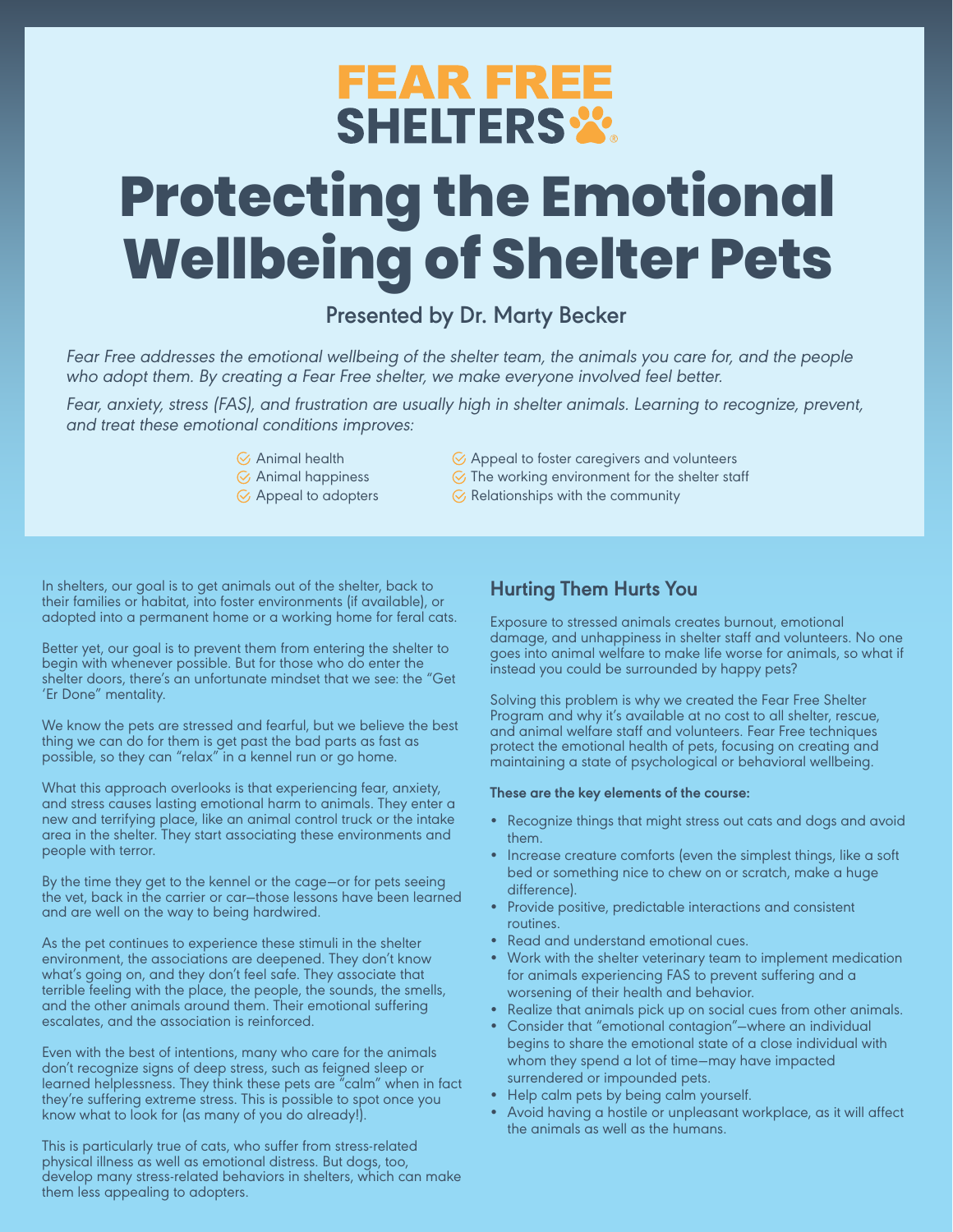## **FEAR FREE SHELTERS %**

# **Protecting the Emotional Wellbeing of Shelter Pets**

### **Presented by Dr. Marty Becker**

Fear Free addresses the emotional wellbeing of the shelter team, the animals you care for, and the people who adopt them. By creating a Fear Free shelter, we make everyone involved feel better.

Fear, anxiety, stress (FAS), and frustration are usually high in shelter animals. Learning to recognize, prevent, and treat these emotional conditions improves:

- $\heartsuit$  Animal health
- $\odot$  Animal happiness
- $\odot$  Appeal to adopters
- Appeal to foster caregivers and volunteers
- $\odot$  The working environment for the shelter staff
- $\odot$  Relationships with the community

In shelters, our goal is to get animals out of the shelter, back to their families or habitat, into foster environments (if available), or adopted into a permanent home or a working home for feral cats.

Better yet, our goal is to prevent them from entering the shelter to begin with whenever possible. But for those who do enter the shelter doors, there's an unfortunate mindset that we see: the "Get 'Er Done" mentality.

We know the pets are stressed and fearful, but we believe the best thing we can do for them is get past the bad parts as fast as possible, so they can "relax" in a kennel run or go home.

What this approach overlooks is that experiencing fear, anxiety, and stress causes lasting emotional harm to animals. They enter a new and terrifying place, like an animal control truck or the intake area in the shelter. They start associating these environments and people with terror.

By the time they get to the kennel or the cage—or for pets seeing the vet, back in the carrier or car—those lessons have been learned and are well on the way to being hardwired.

As the pet continues to experience these stimuli in the shelter environment, the associations are deepened. They don't know what's going on, and they don't feel safe. They associate that terrible feeling with the place, the people, the sounds, the smells, and the other animals around them. Their emotional suffering escalates, and the association is reinforced.

Even with the best of intentions, many who care for the animals don't recognize signs of deep stress, such as feigned sleep or learned helplessness. They think these pets are  $\mathrm{``calm''}$  when in fact they're suffering extreme stress. This is possible to spot once you know what to look for (as many of you do already!).

This is particularly true of cats, who suffer from stress-related physical illness as well as emotional distress. But dogs, too, develop many stress-related behaviors in shelters, which can make them less appealing to adopters.

#### **Hurting Them Hurts You**

Exposure to stressed animals creates burnout, emotional damage, and unhappiness in shelter staff and volunteers. No one goes into animal welfare to make life worse for animals, so what if instead you could be surrounded by happy pets?

Solving this problem is why we created the Fear Free Shelter Program and why it's available at no cost to all shelter, rescue, and animal welfare staff and volunteers. Fear Free techniques protect the emotional health of pets, focusing on creating and maintaining a state of psychological or behavioral wellbeing.

#### **These are the key elements of the course:**

- Recognize things that might stress out cats and dogs and avoid them.
- Increase creature comforts (even the simplest things, like a soft bed or something nice to chew on or scratch, make a huge difference).
- Provide positive, predictable interactions and consistent routines.
- Read and understand emotional cues.
- Work with the shelter veterinary team to implement medication for animals experiencing FAS to prevent suffering and a worsening of their health and behavior.
- Realize that animals pick up on social cues from other animals.
- Consider that "emotional contagion"—where an individual begins to share the emotional state of a close individual with whom they spend a lot of time—may have impacted surrendered or impounded pets.
- Help calm pets by being calm yourself.
- Avoid having a hostile or unpleasant workplace, as it will affect the animals as well as the humans.